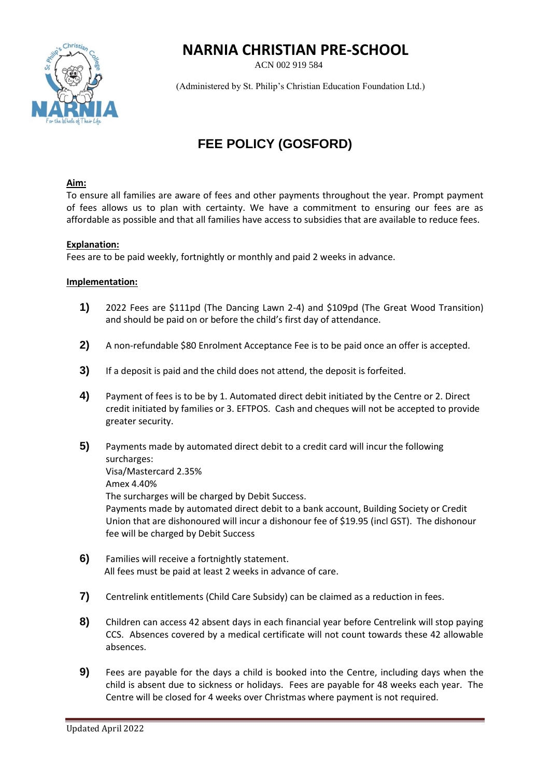## **NARNIA CHRISTIAN PRE-SCHOOL**

ACN 002 919 584



(Administered by St. Philip's Christian Education Foundation Ltd.)

# **FEE POLICY (GOSFORD)**

#### **Aim:**

To ensure all families are aware of fees and other payments throughout the year. Prompt payment of fees allows us to plan with certainty. We have a commitment to ensuring our fees are as affordable as possible and that all families have access to subsidies that are available to reduce fees.

#### **Explanation:**

Fees are to be paid weekly, fortnightly or monthly and paid 2 weeks in advance.

### **Implementation:**

- **1)** 2022 Fees are \$111pd (The Dancing Lawn 2-4) and \$109pd (The Great Wood Transition) and should be paid on or before the child's first day of attendance.
- **2)** A non-refundable \$80 Enrolment Acceptance Fee is to be paid once an offer is accepted.
- **3)** If a deposit is paid and the child does not attend, the deposit is forfeited.
- **4)** Payment of fees is to be by 1. Automated direct debit initiated by the Centre or 2. Direct credit initiated by families or 3. EFTPOS. Cash and cheques will not be accepted to provide greater security.
- **5)** Payments made by automated direct debit to a credit card will incur the following surcharges: Visa/Mastercard 2.35% Amex 4.40% The surcharges will be charged by Debit Success. Payments made by automated direct debit to a bank account, Building Society or Credit Union that are dishonoured will incur a dishonour fee of \$19.95 (incl GST). The dishonour fee will be charged by Debit Success
- **6)** Families will receive a fortnightly statement. All fees must be paid at least 2 weeks in advance of care.
- **7)** Centrelink entitlements (Child Care Subsidy) can be claimed as a reduction in fees.
- **8)** Children can access 42 absent days in each financial year before Centrelink will stop paying CCS. Absences covered by a medical certificate will not count towards these 42 allowable absences.
- **9)** Fees are payable for the days a child is booked into the Centre, including days when the child is absent due to sickness or holidays. Fees are payable for 48 weeks each year. The Centre will be closed for 4 weeks over Christmas where payment is not required.